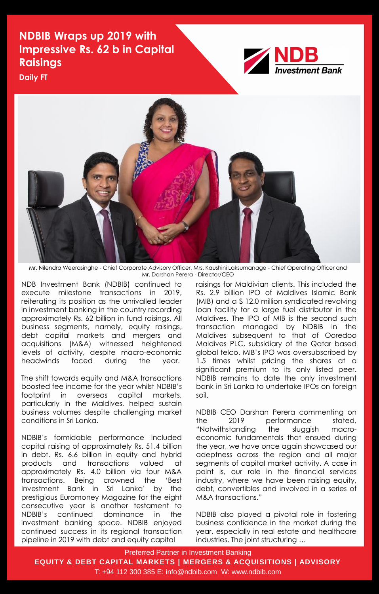Preferred Partner in Investment Banking

**EQUITY & DEBT CAPITAL MARKETS | MERGERS & ACQUISITIONS | ADVISORY**

T: +94 112 300 385 E: info@ndbib.com W: www.ndbib.com

**Daily FT**



Mr. Nilendra Weerasinghe - Chief Corporate Advisory Officer, Mrs. Kaushini Laksumanage - Chief Operating Officer and Mr. Darshan Perera - Director/CEO

NDB Investment Bank (NDBIB) continued to execute milestone transactions in 2019, reiterating its position as the unrivalled leader in investment banking in the country recording approximately Rs. 62 billion in fund raisings. All business segments, namely, equity raisings, debt capital markets and mergers and acquisitions (M&A) witnessed heightened levels of activity, despite macro-economic headwinds faced during the year.

The shift towards equity and M&A transactions boosted fee income for the year whilst NDBIB's footprint in overseas capital markets, particularly in the Maldives, helped sustain business volumes despite challenging market conditions in Sri Lanka.

NDBIB's formidable performance included capital raising of approximately Rs. 51.4 billion in debt, Rs. 6.6 billion in equity and hybrid products and transactions valued at approximately Rs. 4.0 billion via four M&A transactions. Being crowned the 'Best Investment Bank in Sri Lanka' by the prestigious Euromoney Magazine for the eight consecutive year is another testament to NDBIB's continued dominance in the investment banking space. NDBIB enjoyed continued success in its regional transaction pipeline in 2019 with debt and equity capital

raisings for Maldivian clients. This included the Rs. 2.9 billion IPO of Maldives Islamic Bank (MIB) and a \$ 12.0 million syndicated revolving loan facility for a large fuel distributor in the Maldives. The IPO of MIB is the second such transaction managed by NDBIB in the Maldives subsequent to that of Ooredoo Maldives PLC, subsidiary of the Qatar based global telco. MIB's IPO was oversubscribed by 1.5 times whilst pricing the shares at a significant premium to its only listed peer. NDBIB remains to date the only investment bank in Sri Lanka to undertake IPOs on foreign soil.

NDBIB CEO Darshan Perera commenting on the 2019 performance stated, "Notwithstanding the sluggish macroeconomic fundamentals that ensued during the year, we have once again showcased our adeptness across the region and all major segments of capital market activity. A case in point is, our role in the financial services industry, where we have been raising equity, debt, convertibles and involved in a series of M&A transactions."

NDBIB also played a pivotal role in fostering business confidence in the market during the year, especially in real estate and healthcare industries. The joint structuring …

## **NDBIB Wraps up 2019 with Impressive Rs. 62 b in Capital Raisings**

**NDB**<br>Investment Bank